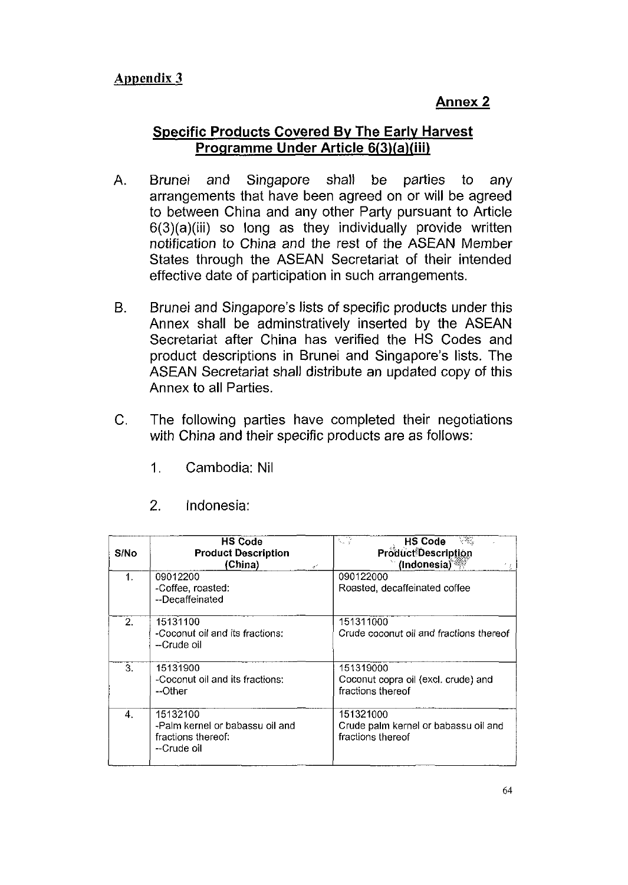### **Annex 2**

#### **Specific Products Covered By The Early Harvest Programme Under Article 6(3)(a)(iii)**

- A. Brunei and Singapore shall be parties to any arrangements that have been agreed on or will be agreed to between China and any other Party pursuant to Article  $6(3)(a)(iii)$  so long as they individually provide written notification to China and the rest of the ASEAN Member States through the ASEAN Secretariat of their intended effective date of participation in such arrangements.
- B. Brunei and Singapore's lists of specific products under this Annex shall be adminstratively inserted by the ASEAN Secretariat after China has verified the HS Codes and product descriptions in Brunei and Singapore's lists. The ASEAN Secretariat shall distribute an updated copy of this Annex to all Parties.
- C. The following parties have completed their negotiations with China and their specific products are as follows:
	- 1. Cambodia: Nil
	- 2. Indonesia:

| S/No | <b>HS Code</b><br><b>Product Description</b><br>(China)                          | K)<br>남았<br><b>HS Code</b><br><b>Product Description</b><br>(Indonesia)<br>13. |
|------|----------------------------------------------------------------------------------|--------------------------------------------------------------------------------|
| 1.   | 09012200<br>-Coffee, roasted:<br>--Decaffeinated                                 | 090122000<br>Roasted, decaffeinated coffee                                     |
| 2.   | 15131100<br>-Coconut oil and its fractions:<br>---Crude oil                      | 151311000<br>Crude coconut oil and fractions thereof                           |
| 3.   | 15131900<br>-Coconut oil and its fractions:<br>--Other                           | 151319000<br>Coconut copra oil (excl. crude) and<br>fractions thereof          |
| 4.   | 15132100<br>-Palm kernel or babassu oil and<br>fractions thereof:<br>--Crude oil | 151321000<br>Crude palm kernel or babassu oil and<br>fractions thereof         |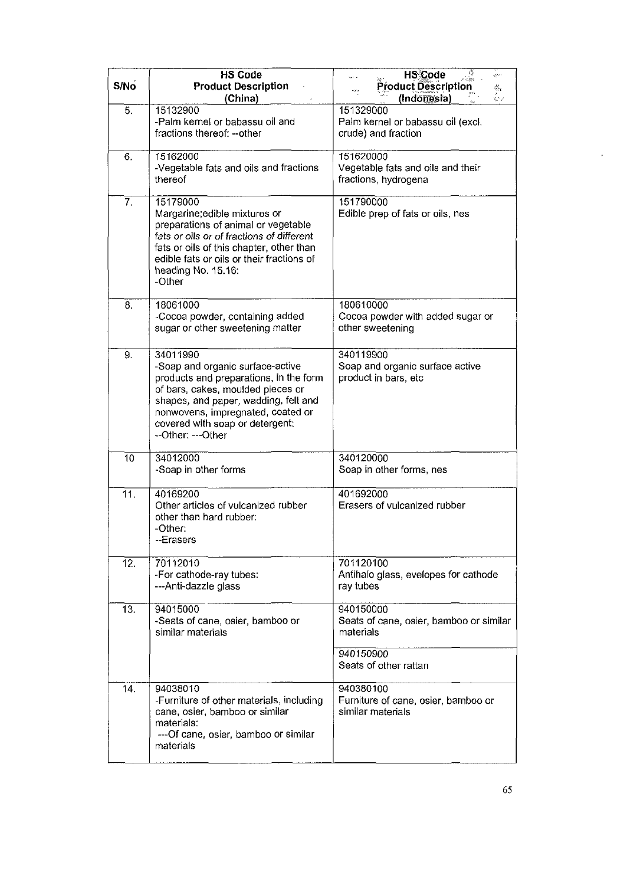| S/No | <b>HS Code</b><br><b>Product Description</b><br>(China)                                                                                                                                                                                                          | <b>HS Code</b><br>igaan<br><b>Crisins</b><br><b>Product Description</b><br>恭<br>公<br>$\mathcal{O}(\mathcal{Q})$<br>(Indonesia) |
|------|------------------------------------------------------------------------------------------------------------------------------------------------------------------------------------------------------------------------------------------------------------------|--------------------------------------------------------------------------------------------------------------------------------|
| 5.   | 15132900<br>-Palm kernel or babassu oil and<br>fractions thereof: --other                                                                                                                                                                                        | 151329000<br>Palm kernel or babassu oil (excl.<br>crude) and fraction                                                          |
| 6.   | 15162000<br>-Vegetable fats and oils and fractions<br>thereof                                                                                                                                                                                                    | 151620000<br>Vegetable fats and oils and their<br>fractions, hydrogena                                                         |
| 7.   | 15179000<br>Margarine; edible mixtures or<br>preparations of animal or vegetable<br>fats or oils or of fractions of different<br>fats or oils of this chapter, other than<br>edible fats or oils or their fractions of<br>heading No. 15.16:<br>-Other           | 151790000<br>Edible prep of fats or oils, nes                                                                                  |
| 8.   | 18061000<br>-Cocoa powder, containing added<br>sugar or other sweetening matter                                                                                                                                                                                  | 180610000<br>Cocoa powder with added sugar or<br>other sweetening                                                              |
| 9.   | 34011990<br>-Soap and organic surface-active<br>products and preparations, in the form<br>of bars, cakes, moulded pieces or<br>shapes, and paper, wadding, felt and<br>nonwovens, impregnated, coated or<br>covered with soap or detergent:<br>--Other: ---Other | 340119900<br>Soap and organic surface active<br>product in bars, etc                                                           |
| 10   | 34012000<br>-Soap in other forms                                                                                                                                                                                                                                 | 340120000<br>Soap in other forms, nes                                                                                          |
| 11.  | 40169200<br>Other articles of vulcanized rubber<br>other than hard rubber:<br>-Other:<br>--Erasers                                                                                                                                                               | 401692000<br>Erasers of vulcanized rubber                                                                                      |
| 12.  | 70112010<br>-For cathode-ray tubes:<br>---Anti-dazzle glass                                                                                                                                                                                                      | 701120100<br>Antihalo glass, evelopes for cathode<br>ray tubes                                                                 |
| 13.  | 94015000<br>-Seats of cane, osier, bamboo or<br>similar materials                                                                                                                                                                                                | 940150000<br>Seats of cane, osier, bamboo or similar<br>materials<br>940150900<br>Seats of other rattan                        |
| 14.  | 94038010<br>-Furniture of other materials, including<br>cane, osier, bamboo or similar<br>materials:<br>--- Of cane, osier, bamboo or similar<br>materials                                                                                                       | 940380100<br>Furniture of cane, osier, bamboo or<br>similar materials                                                          |

 $\sim$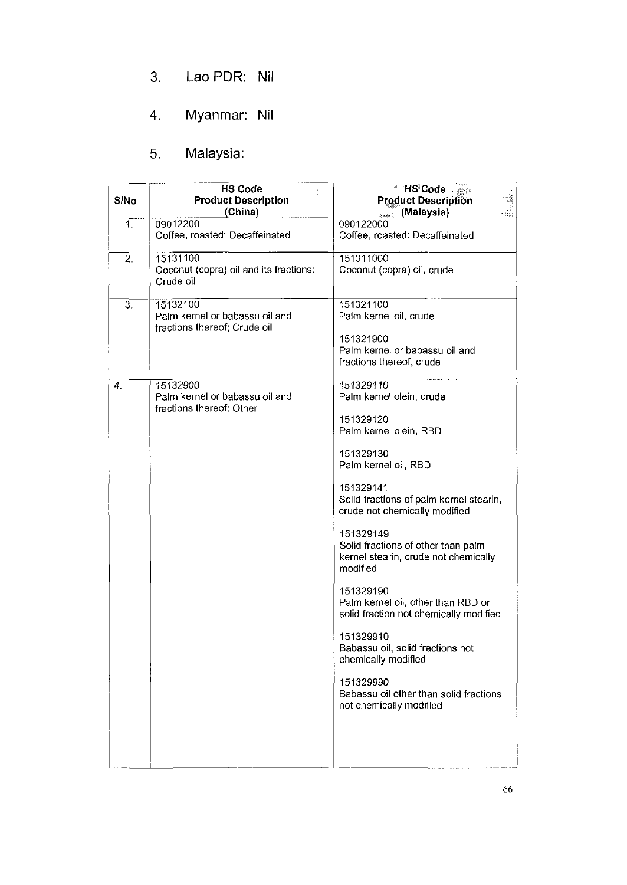### 3. Lao PDR:

## 4. Myanmar: Nil

# 5. Malaysia:

|                | <b>HS Code</b>                                                 | <b>HS Code</b><br>$\label{eq:12} \begin{array}{cc} \mathcal{L}^2 \otimes \mathcal{C}^{\rm{adv}}_{\mathcal{C}} \otimes \mathcal{C}^{\rm{adv}}_{\mathcal{C}} \end{array}$ |
|----------------|----------------------------------------------------------------|-------------------------------------------------------------------------------------------------------------------------------------------------------------------------|
| S/No           | <b>Product Description</b><br>(China)                          | ÷,<br><b>Product Description</b><br>(Malaysia)                                                                                                                          |
| 1.             | 09012200                                                       | $\lambda$ and $\mu$<br>090122000                                                                                                                                        |
|                | Coffee, roasted: Decaffeinated                                 | Coffee, roasted: Decaffeinated                                                                                                                                          |
| 2.             | 15131100                                                       | 151311000                                                                                                                                                               |
|                | Coconut (copra) oil and its fractions.<br>Crude oil            | Coconut (copra) oil, crude                                                                                                                                              |
| 3 <sub>1</sub> | 15132100                                                       | 151321100                                                                                                                                                               |
|                | Palm kernel or babassu oil and<br>fractions thereof; Crude oil | Palm kernel oil, crude                                                                                                                                                  |
|                |                                                                | 151321900                                                                                                                                                               |
|                |                                                                | Palm kernel or babassu oil and                                                                                                                                          |
|                |                                                                | fractions thereof, crude                                                                                                                                                |
| 4.             | 15132900                                                       | 151329110                                                                                                                                                               |
|                | Palm kernel or babassu oil and<br>fractions thereof: Other     | Palm kernel olein, crude                                                                                                                                                |
|                |                                                                | 151329120                                                                                                                                                               |
|                |                                                                | Palm kernel olein, RBD                                                                                                                                                  |
|                |                                                                | 151329130                                                                                                                                                               |
|                |                                                                | Palm kernel oil, RBD                                                                                                                                                    |
|                |                                                                | 151329141<br>Solid fractions of palm kernel stearin,<br>crude not chemically modified                                                                                   |
|                |                                                                | 151329149<br>Solid fractions of other than palm<br>kernel stearin, crude not chemically<br>modified                                                                     |
|                |                                                                | 151329190<br>Palm kernel oil, other than RBD or<br>solid fraction not chemically modified                                                                               |
|                |                                                                | 151329910<br>Babassu oil, solid fractions not<br>chemically modified                                                                                                    |
|                |                                                                | 151329990<br>Babassu oil other than solid fractions<br>not chemically modified                                                                                          |
|                |                                                                |                                                                                                                                                                         |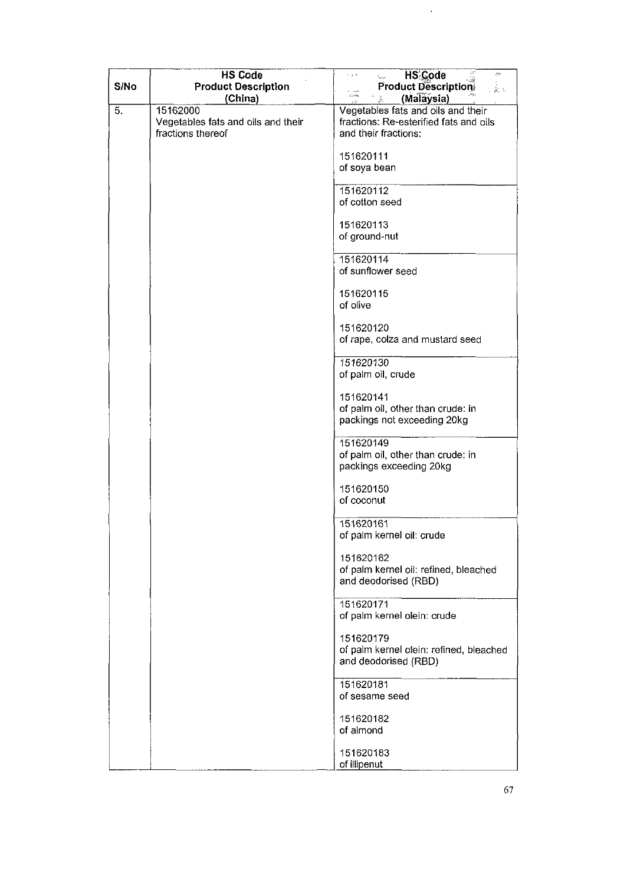| S/No | <b>HS Code</b><br><b>Product Description</b><br>(China)             | <b>HS Code</b><br>ð9<br>si gilen<br>e.<br>System<br><b>Product Description</b><br>。 正 1.<br>aten v<br>$2.8\,\mathrm{erg}$<br>(Malaysia)<br>$\tilde{\nu}^{\rm eff}_{\rm s}$ |
|------|---------------------------------------------------------------------|----------------------------------------------------------------------------------------------------------------------------------------------------------------------------|
| 5.   | 15162000<br>Vegetables fats and oils and their<br>fractions thereof | Vegetables fats and oils and their<br>fractions: Re-esterified fats and oils<br>and their fractions:                                                                       |
|      |                                                                     | 151620111                                                                                                                                                                  |
|      |                                                                     | of soya bean<br>151620112                                                                                                                                                  |
|      |                                                                     | of cotton seed                                                                                                                                                             |
|      |                                                                     | 151620113<br>of ground-nut                                                                                                                                                 |
|      |                                                                     | 151620114<br>of sunflower seed                                                                                                                                             |
|      |                                                                     | 151620115<br>of olive                                                                                                                                                      |
|      |                                                                     | 151620120<br>of rape, colza and mustard seed                                                                                                                               |
|      |                                                                     | 151620130<br>of palm oil, crude                                                                                                                                            |
|      |                                                                     | 151620141<br>of palm oil, other than crude: in<br>packings not exceeding 20kg                                                                                              |
|      |                                                                     | 151620149<br>of palm oil, other than crude: in<br>packings exceeding 20kg                                                                                                  |
|      |                                                                     | 151620150<br>of coconut                                                                                                                                                    |
|      |                                                                     | 151620161<br>of palm kernel oil: crude                                                                                                                                     |
|      |                                                                     | 151620162<br>of palm kernel oil: refined, bleached<br>and deodorised (RBD)                                                                                                 |
|      |                                                                     | 151620171<br>of palm kernel olein: crude                                                                                                                                   |
|      |                                                                     | 151620179<br>of palm kernel olein: refined, bleached<br>and deodorised (RBD)                                                                                               |
|      |                                                                     | 151620181<br>of sesame seed                                                                                                                                                |
|      |                                                                     | 151620182<br>of almond                                                                                                                                                     |
|      |                                                                     | 151620183<br>of illipenut                                                                                                                                                  |

 $\ddot{\phantom{a}}$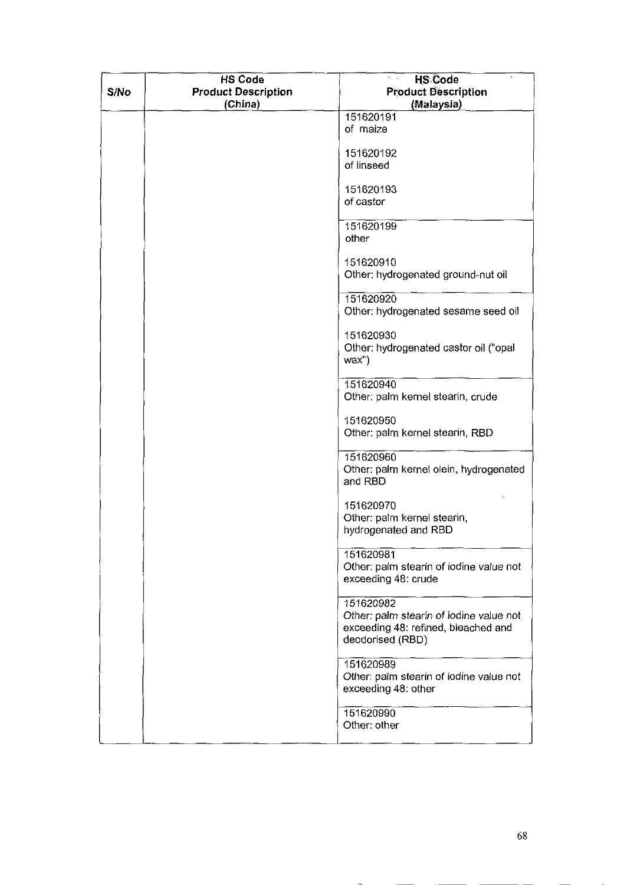| S/No | <b>HS Code</b><br><b>Product Description</b><br>(China) | <b>HS</b> Code<br><b>Product Description</b><br>(Malaysia) |
|------|---------------------------------------------------------|------------------------------------------------------------|
|      |                                                         | 151620191                                                  |
|      |                                                         | of maize                                                   |
|      |                                                         | 151620192                                                  |
|      |                                                         | of linseed                                                 |
|      |                                                         |                                                            |
|      |                                                         | 151620193                                                  |
|      |                                                         | of castor                                                  |
|      |                                                         | 151620199                                                  |
|      |                                                         | other                                                      |
|      |                                                         | 151620910                                                  |
|      |                                                         | Other: hydrogenated ground-nut oil                         |
|      |                                                         |                                                            |
|      |                                                         | 151620920                                                  |
|      |                                                         | Other: hydrogenated sesame seed oil                        |
|      |                                                         | 151620930                                                  |
|      |                                                         | Other: hydrogenated castor oil ("opal                      |
|      |                                                         | $\text{wax}$ ")                                            |
|      |                                                         | 151620940                                                  |
|      |                                                         | Other: palm kernel stearin, crude                          |
|      |                                                         |                                                            |
|      |                                                         | 151620950                                                  |
|      |                                                         | Other: palm kernel stearin, RBD                            |
|      |                                                         | 151620960                                                  |
|      |                                                         | Other: palm kernel olein, hydrogenated                     |
|      |                                                         | and RBD                                                    |
|      |                                                         | 151620970                                                  |
|      |                                                         | Other: palm kernel stearin,                                |
|      |                                                         | hydrogenated and RBD                                       |
|      |                                                         | 151620981                                                  |
|      |                                                         | Other: palm stearin of iodine value not                    |
|      |                                                         | exceeding 48: crude                                        |
|      |                                                         | 151620982                                                  |
|      |                                                         | Other: palm stearin of iodine value not                    |
|      |                                                         | exceeding 48: refined, bleached and                        |
|      |                                                         | deodorised (RBD)                                           |
|      |                                                         | 151620989                                                  |
|      |                                                         | Other: palm stearin of iodine value not                    |
|      |                                                         | exceeding 48: other                                        |
|      |                                                         | 151620990                                                  |
|      |                                                         | Other: other                                               |
|      |                                                         |                                                            |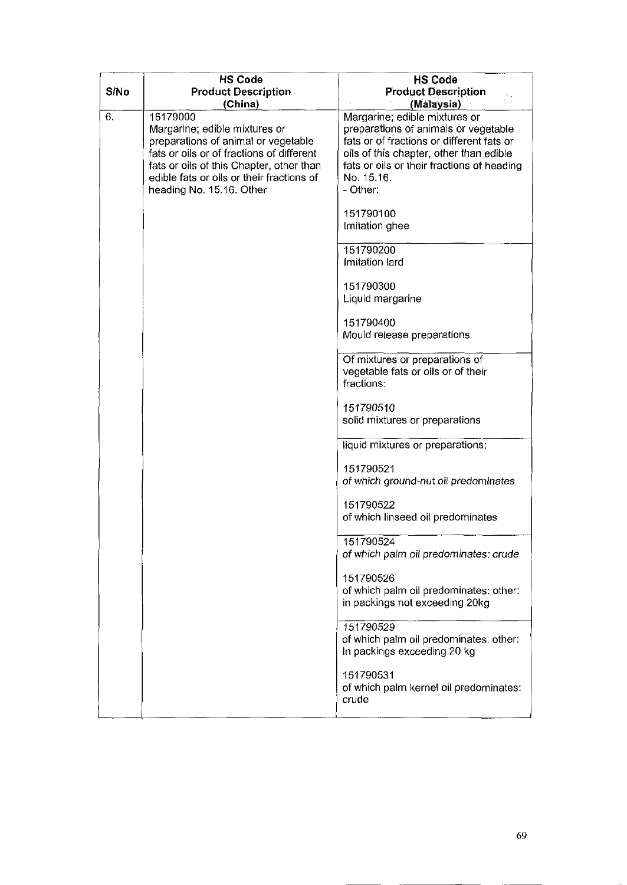| S/No             | <b>HS Code</b><br><b>Product Description</b><br>(China)                                                                                                                                                                                            | <b>HS Code</b><br><b>Product Description</b><br>(Malaysia)                                                                                                                                                                            |
|------------------|----------------------------------------------------------------------------------------------------------------------------------------------------------------------------------------------------------------------------------------------------|---------------------------------------------------------------------------------------------------------------------------------------------------------------------------------------------------------------------------------------|
| $\hat{\sigma}$ . | 15179000<br>Margarine; edible mixtures or<br>preparations of animal or vegetable<br>fats or oils or of fractions of different<br>fats or oils of this Chapter, other than<br>edible fats or oils or their fractions of<br>heading No. 15.16. Other | Margarine; edible mixtures or<br>preparations of animals or vegetable<br>fats or of fractions or different fats or<br>oils of this chapter, other than edible<br>fats or oils or their fractions of heading<br>No. 15.16.<br>- Other: |
|                  |                                                                                                                                                                                                                                                    | 151790100<br>Imitation ghee                                                                                                                                                                                                           |
|                  |                                                                                                                                                                                                                                                    | 151790200<br>Imitation lard                                                                                                                                                                                                           |
|                  |                                                                                                                                                                                                                                                    | 151790300<br>Liquid margarine                                                                                                                                                                                                         |
|                  |                                                                                                                                                                                                                                                    | 151790400<br>Mould release preparations                                                                                                                                                                                               |
|                  |                                                                                                                                                                                                                                                    | Of mixtures or preparations of<br>vegetable fats or oils or of their<br>fractions:                                                                                                                                                    |
|                  |                                                                                                                                                                                                                                                    | 151790510<br>solid mixtures or preparations                                                                                                                                                                                           |
|                  |                                                                                                                                                                                                                                                    | liquid mixtures or preparations:                                                                                                                                                                                                      |
|                  |                                                                                                                                                                                                                                                    | 151790521<br>of which ground-nut oil predominates                                                                                                                                                                                     |
|                  |                                                                                                                                                                                                                                                    | 151790522<br>of which linseed oil predominates                                                                                                                                                                                        |
|                  |                                                                                                                                                                                                                                                    | 151790524<br>of which palm oil predominates: crude                                                                                                                                                                                    |
|                  |                                                                                                                                                                                                                                                    | 151790526<br>of which palm oil predominates: other:<br>in packings not exceeding 20kg                                                                                                                                                 |
|                  |                                                                                                                                                                                                                                                    | 151790529<br>of which palm oil predominates: other:<br>In packings exceeding 20 kg                                                                                                                                                    |
|                  |                                                                                                                                                                                                                                                    | 151790531<br>of which palm kernel oil predominates:<br>crude                                                                                                                                                                          |
|                  |                                                                                                                                                                                                                                                    |                                                                                                                                                                                                                                       |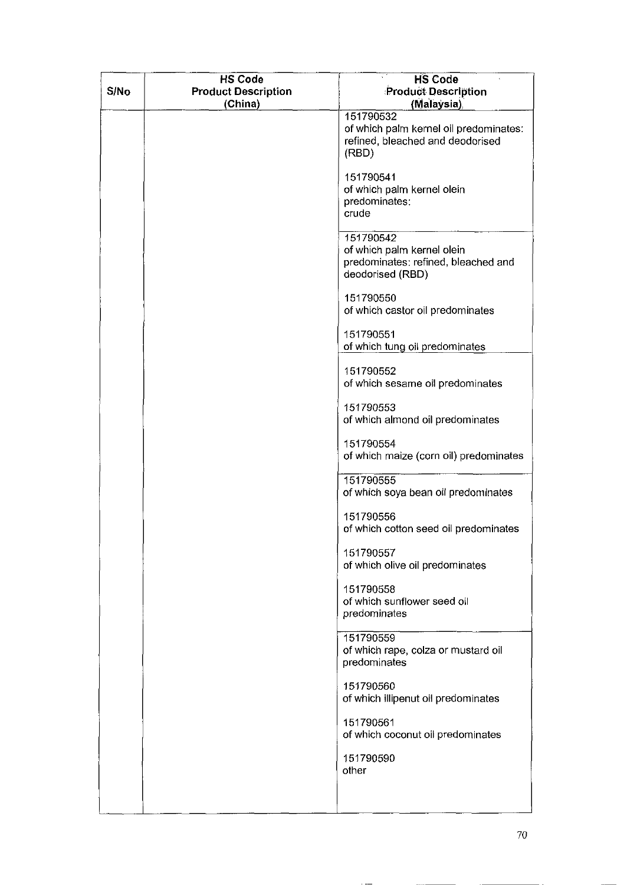| S/No | <b>HS Code</b><br><b>Product Description</b><br>(China) | <b>HS Code</b><br><b>Product Description</b><br>(Malaysia)                                         |
|------|---------------------------------------------------------|----------------------------------------------------------------------------------------------------|
|      |                                                         | 151790532<br>of which palm kernel oil predominates:<br>refined, bleached and deodorised<br>(RBD)   |
|      |                                                         | 151790541<br>of which palm kernel olein<br>predominates:<br>crude                                  |
|      |                                                         | 151790542<br>of which palm kernel olein<br>predominates: refined, bleached and<br>deodorised (RBD) |
|      |                                                         | 151790550<br>of which castor oil predominates                                                      |
|      |                                                         | 151790551<br>of which tung oil predominates                                                        |
|      |                                                         | 151790552<br>of which sesame oil predominates                                                      |
|      |                                                         | 151790553<br>of which almond oil predominates                                                      |
|      |                                                         | 151790554<br>of which maize (corn oil) predominates                                                |
|      |                                                         | 151790555<br>of which soya bean oil predominates                                                   |
|      |                                                         | 151790556<br>of which cotton seed oil predominates                                                 |
|      |                                                         | 151790557<br>of which olive oil predominates                                                       |
|      |                                                         | 151790558<br>of which sunflower seed oil<br>predominates                                           |
|      |                                                         | 151790559<br>of which rape, colza or mustard oil<br>predominates                                   |
|      |                                                         | 151790560<br>of which illipenut oil predominates                                                   |
|      |                                                         | 151790561<br>of which coconut oil predominates                                                     |
|      |                                                         | 151790590<br>other                                                                                 |
|      |                                                         |                                                                                                    |

 $\overline{a}$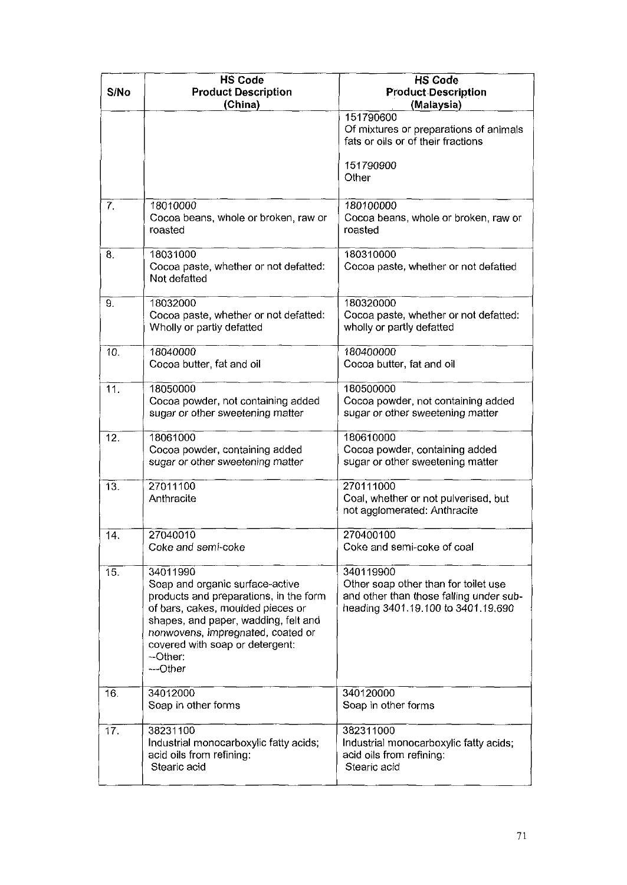| S/No | <b>HS Code</b><br><b>Product Description</b><br>(China)                                                                                                                                                                                                            | <b>HS Code</b><br><b>Product Description</b><br>(Malaysia)                                                                         |
|------|--------------------------------------------------------------------------------------------------------------------------------------------------------------------------------------------------------------------------------------------------------------------|------------------------------------------------------------------------------------------------------------------------------------|
|      |                                                                                                                                                                                                                                                                    | 151790600<br>Of mixtures or preparations of animals<br>fats or oils or of their fractions                                          |
|      |                                                                                                                                                                                                                                                                    | 151790900<br>Other                                                                                                                 |
| 7.   | 18010000<br>Cocoa beans, whole or broken, raw or<br>roasted                                                                                                                                                                                                        | 180100000<br>Cocoa beans, whole or broken, raw or<br>roasted                                                                       |
| 8.   | 18031000<br>Cocoa paste, whether or not defatted:<br>Not defatted                                                                                                                                                                                                  | 180310000<br>Cocoa paste, whether or not defatted                                                                                  |
| 9.   | 18032000<br>Cocoa paste, whether or not defatted:<br>Wholly or partly defatted                                                                                                                                                                                     | 180320000<br>Cocoa paste, whether or not defatted:<br>wholly or partly defatted                                                    |
| 10.  | 18040000<br>Cocoa butter, fat and oil                                                                                                                                                                                                                              | 180400000<br>Cocoa butter, fat and oil                                                                                             |
| 11.  | 18050000<br>Cocoa powder, not containing added<br>sugar or other sweetening matter                                                                                                                                                                                 | 180500000<br>Cocoa powder, not containing added<br>sugar or other sweetening matter                                                |
| 12.  | 18061000<br>Cocoa powder, containing added<br>sugar or other sweetening matter                                                                                                                                                                                     | 180610000<br>Cocoa powder, containing added<br>sugar or other sweetening matter                                                    |
| 13.  | 27011100<br>Anthracite                                                                                                                                                                                                                                             | 270111000<br>Coal, whether or not pulverised, but<br>not agglomerated: Anthracite                                                  |
| 14.  | 27040010<br>Coke and semi-coke                                                                                                                                                                                                                                     | 270400100<br>Coke and semi-coke of coal                                                                                            |
| 15.  | 34011990<br>Soap and organic surface-active<br>products and preparations, in the form<br>of bars, cakes, moulded pieces or<br>shapes, and paper, wadding, felt and<br>nonwovens, impregnated, coated or<br>covered with soap or detergent:<br>--Other:<br>---Other | 340119900<br>Other soap other than for toilet use<br>and other than those falling under sub-<br>heading 3401.19.100 to 3401.19.690 |
| 16.  | 34012000<br>Soap in other forms                                                                                                                                                                                                                                    | 340120000<br>Soap in other forms                                                                                                   |
| 17.  | 38231100<br>Industrial monocarboxylic fatty acids;<br>acid oils from refining:<br>Stearic acid                                                                                                                                                                     | 382311000<br>Industrial monocarboxylic fatty acids;<br>acid oils from refining:<br>Stearic acid                                    |